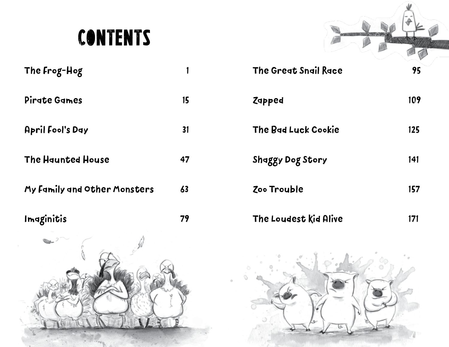## **CONTENTS**

| The Frog-Hog                 |    |  |
|------------------------------|----|--|
| Pirate Games                 | 15 |  |
| <b>April Fool's Day</b>      | 31 |  |
| <b>The Haunted House</b>     | 47 |  |
| My Family and Other Monsters | 63 |  |

Imaginitis 79



| The Great Snail Race       | 95  |
|----------------------------|-----|
| Zapped                     | 109 |
| <b>The Bad Luck Cookie</b> | 125 |
| Shaggy Dog Story           | 141 |
| Zoo Trouble                | 157 |
| The Loudest Kid Alive      | 171 |

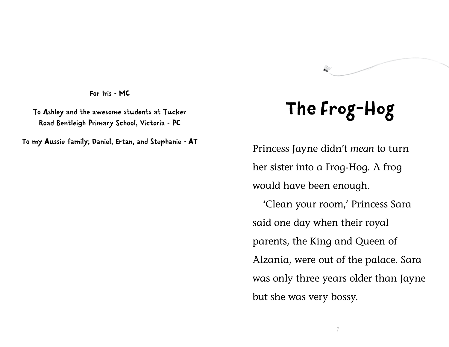For Iris - MC

To Ashley and the awesome students at Tucker Road Bentleigh Primary School, Victoria - PC

To my Aussie family; Daniel, Ertan, and Stephanie – AT

## The Frog-Hog

Princess Jayne didn't *mean* to turn her sister into a Frog-Hog. A frog would have been enough.

'Clean your room,' Princess Sara said one day when their royal parents, the King and Queen of Alzania, were out of the palace. Sara was only three years older than Jayne but she was very bossy.

1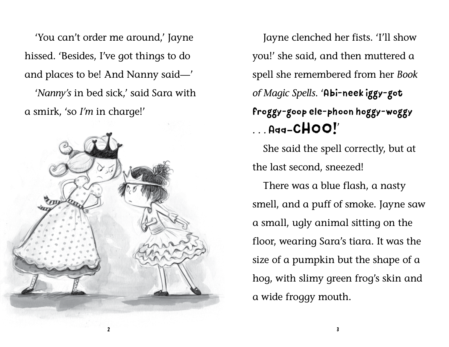'You can't order me around,' Jayne hissed. 'Besides, I've got things to do and places to be! And Nanny said—' '*Nanny's* in bed sick,' said Sara with a smirk, 'so *I'm* in charge!'



Jayne clenched her fists. 'I'll show you!' she said, and then muttered a spell she remembered from her *Book of Magic Spells*. 'Abi-neek iggy-got froggy-goop ele-phoon hoggy-woggy *. . .* Aaa–CHOO!'

She said the spell correctly, but at the last second, sneezed!

There was a blue flash, a nasty smell, and a puff of smoke. Jayne saw a small, ugly animal sitting on the floor, wearing Sara's tiara. It was the size of a pumpkin but the shape of a hog, with slimy green frog's skin and a wide froggy mouth.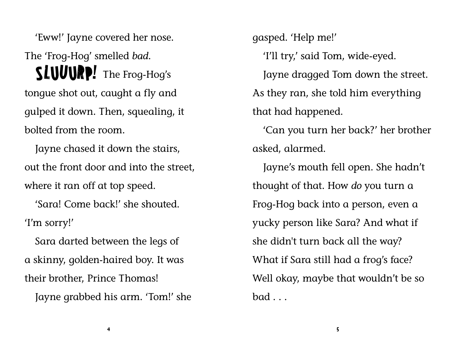'Eww!' Jayne covered her nose.

The 'Frog-Hog' smelled *bad*. SLUUURP! The Frog-Hog's tongue shot out, caught a fly and gulped it down. Then, squealing, it bolted from the room.

Jayne chased it down the stairs, out the front door and into the street, where it ran off at top speed.

'Sara! Come back!' she shouted. 'I'm sorry!'

Sara darted between the legs of a skinny, golden-haired boy. It was their brother, Prince Thomas!

Jayne grabbed his arm. 'Tom!' she

gasped. 'Help me!' 'I'll try,' said Tom, wide-eyed. Jayne dragged Tom down the street. As they ran, she told him everything that had happened.

'Can you turn her back?' her brother asked, alarmed.

Jayne's mouth fell open. She hadn't thought of that. How *do* you turn a Frog-Hog back into a person, even a yucky person like Sara? And what if she didn't turn back all the way? What if Sara still had a frog's face? Well okay, maybe that wouldn't be so bad . . .

4 5